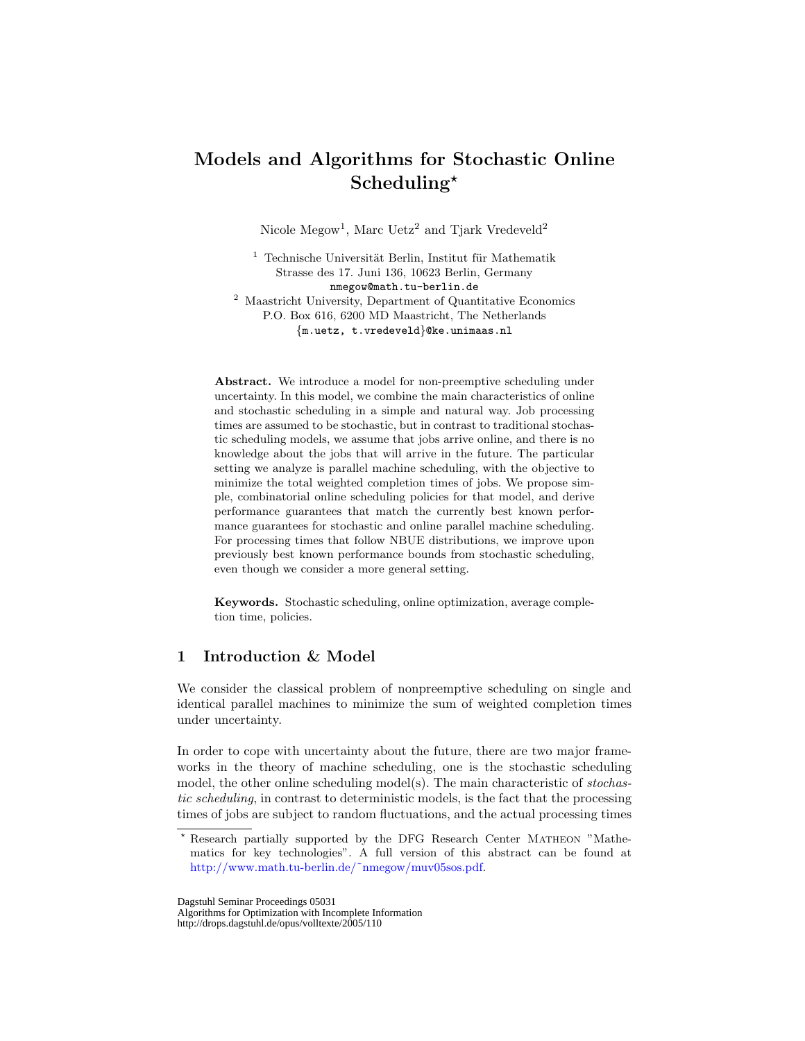# Models and Algorithms for Stochastic Online  $Scheduling<sup>*</sup>$

Nicole  $\text{Megow}^1$ , Marc Uetz<sup>2</sup> and Tjark Vredeveld<sup>2</sup>

 $^{\rm 1}$  Technische Universität Berlin, Institut für Mathematik Strasse des 17. Juni 136, 10623 Berlin, Germany nmegow@math.tu-berlin.de <sup>2</sup> Maastricht University, Department of Quantitative Economics P.O. Box 616, 6200 MD Maastricht, The Netherlands {m.uetz, t.vredeveld}@ke.unimaas.nl

Abstract. We introduce a model for non-preemptive scheduling under uncertainty. In this model, we combine the main characteristics of online and stochastic scheduling in a simple and natural way. Job processing times are assumed to be stochastic, but in contrast to traditional stochastic scheduling models, we assume that jobs arrive online, and there is no knowledge about the jobs that will arrive in the future. The particular setting we analyze is parallel machine scheduling, with the objective to minimize the total weighted completion times of jobs. We propose simple, combinatorial online scheduling policies for that model, and derive performance guarantees that match the currently best known performance guarantees for stochastic and online parallel machine scheduling. For processing times that follow NBUE distributions, we improve upon previously best known performance bounds from stochastic scheduling, even though we consider a more general setting.

Keywords. Stochastic scheduling, online optimization, average completion time, policies.

## 1 Introduction & Model

We consider the classical problem of nonpreemptive scheduling on single and identical parallel machines to minimize the sum of weighted completion times under uncertainty.

In order to cope with uncertainty about the future, there are two major frameworks in the theory of machine scheduling, one is the stochastic scheduling model, the other online scheduling model(s). The main characteristic of stochastic scheduling, in contrast to deterministic models, is the fact that the processing times of jobs are subject to random fluctuations, and the actual processing times

Dagstuhl Seminar Proceedings 05031

Algorithms for Optimization with Incomplete Information

http://drops.dagstuhl.de/opus/volltexte/2005/110

<sup>?</sup> Research partially supported by the DFG Research Center Matheon "Mathematics for key technologies". A full version of this abstract can be found at [http://www.math.tu-berlin.de/˜nmegow/muv05sos.pdf.](http://www.math.tu-berlin.de/protect unhbox voidb@x penalty @M  {}nmegow/muv_sos.pdf)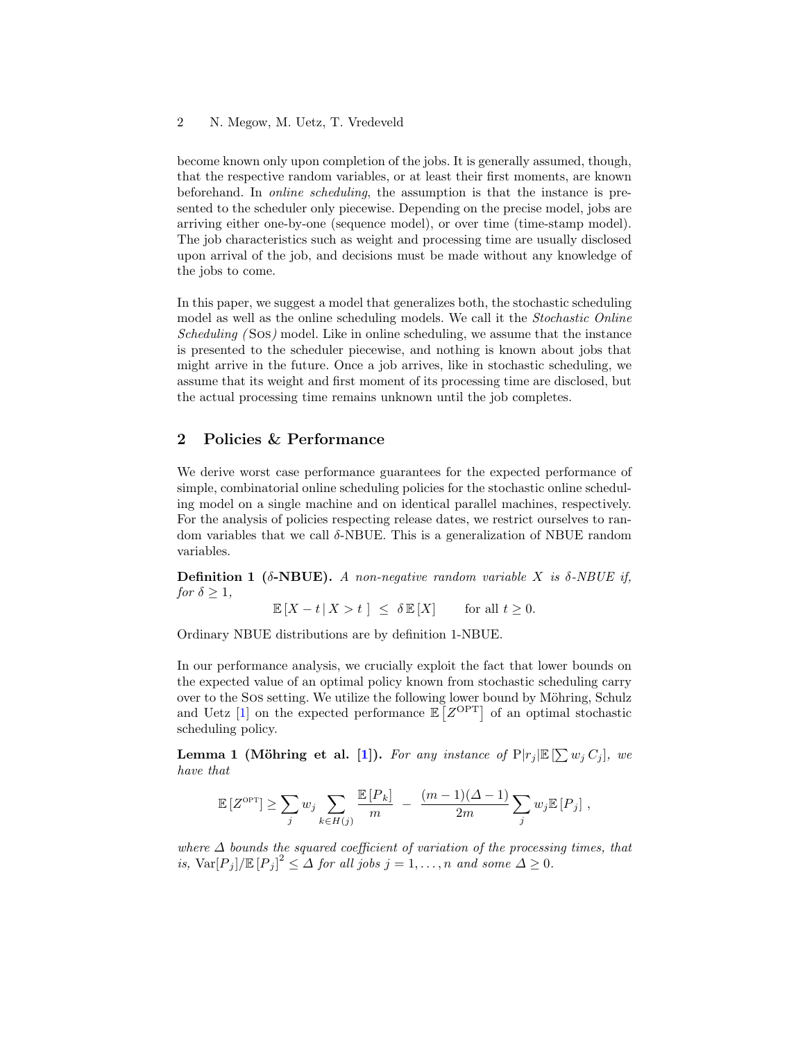#### 2 N. Megow, M. Uetz, T. Vredeveld

become known only upon completion of the jobs. It is generally assumed, though, that the respective random variables, or at least their first moments, are known beforehand. In online scheduling, the assumption is that the instance is presented to the scheduler only piecewise. Depending on the precise model, jobs are arriving either one-by-one (sequence model), or over time (time-stamp model). The job characteristics such as weight and processing time are usually disclosed upon arrival of the job, and decisions must be made without any knowledge of the jobs to come.

In this paper, we suggest a model that generalizes both, the stochastic scheduling model as well as the online scheduling models. We call it the Stochastic Online Scheduling (Sos) model. Like in online scheduling, we assume that the instance is presented to the scheduler piecewise, and nothing is known about jobs that might arrive in the future. Once a job arrives, like in stochastic scheduling, we assume that its weight and first moment of its processing time are disclosed, but the actual processing time remains unknown until the job completes.

### 2 Policies & Performance

We derive worst case performance guarantees for the expected performance of simple, combinatorial online scheduling policies for the stochastic online scheduling model on a single machine and on identical parallel machines, respectively. For the analysis of policies respecting release dates, we restrict ourselves to random variables that we call  $\delta$ -NBUE. This is a generalization of NBUE random variables.

**Definition 1** ( $\delta$ -NBUE). A non-negative random variable X is  $\delta$ -NBUE if, for  $\delta \geq 1$ ,

 $\mathbb{E}[X - t | X > t] \leq \delta \mathbb{E}[X]$  for all  $t \geq 0$ .

Ordinary NBUE distributions are by definition 1-NBUE.

In our performance analysis, we crucially exploit the fact that lower bounds on the expected value of an optimal policy known from stochastic scheduling carry over to the Sos setting. We utilize the following lower bound by Möhring, Schulz and Uetz [\[1\]](#page-3-0) on the expected performance  $\mathbb{E}[Z^{\text{OPT}}]$  of an optimal stochastic scheduling policy.

**Lemma 1 (Möhring et al. [\[1\]](#page-3-0)).** For any instance of  $P|r_j|E[\sum w_j C_j]$ , we have that

$$
\mathbb{E}\left[Z^{\mathrm{OPT}}\right] \ge \sum_j w_j \sum_{k \in H(j)} \frac{\mathbb{E}\left[P_k\right]}{m} - \frac{(m-1)(\Delta-1)}{2m} \sum_j w_j \mathbb{E}\left[P_j\right],
$$

where  $\Delta$  bounds the squared coefficient of variation of the processing times, that is,  $\text{Var}[P_j] / \mathbb{E}[P_j]^2 \leq \Delta$  for all jobs  $j = 1, ..., n$  and some  $\Delta \geq 0$ .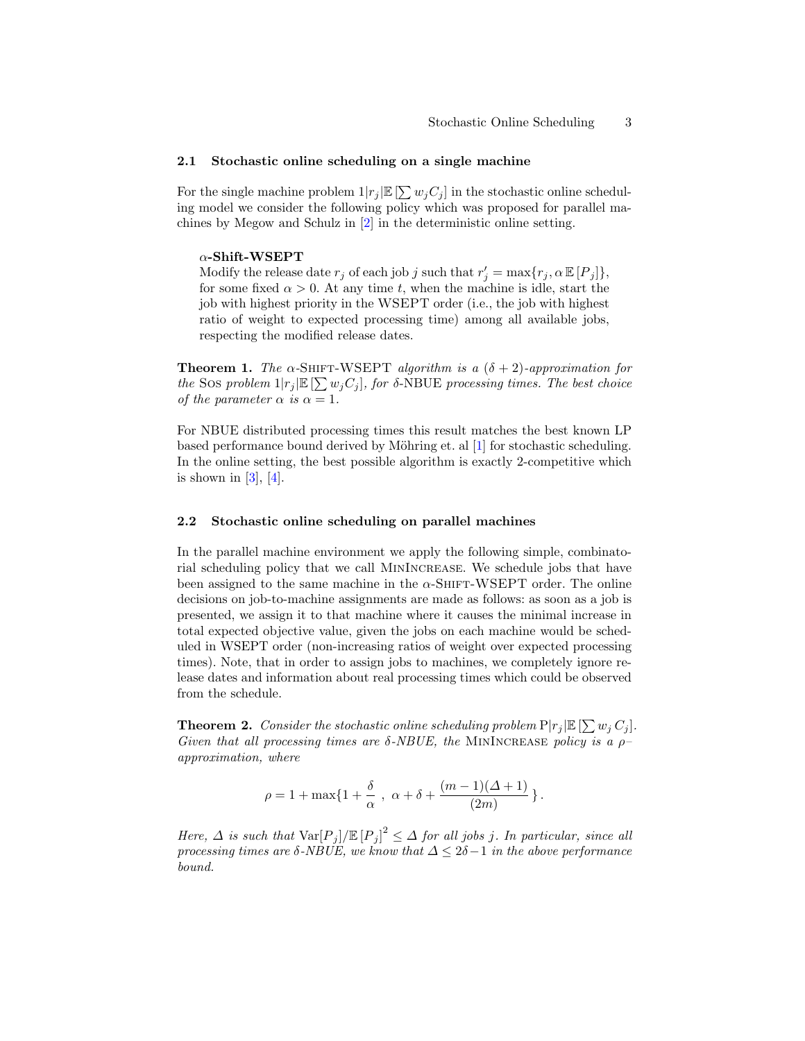#### 2.1 Stochastic online scheduling on a single machine

For the single machine problem  $1|r_j| \mathbb{E}[\sum w_j C_j]$  in the stochastic online scheduling model we consider the following policy which was proposed for parallel machines by Megow and Schulz in [\[2\]](#page-3-1) in the deterministic online setting.

#### $\alpha$ -Shift-WSEPT

Modify the release date  $r_j$  of each job j such that  $r'_j = \max\{r_j, \alpha \mathbb{E}[P_j]\},\$ for some fixed  $\alpha > 0$ . At any time t, when the machine is idle, start the job with highest priority in the WSEPT order (i.e., the job with highest ratio of weight to expected processing time) among all available jobs, respecting the modified release dates.

**Theorem 1.** The  $\alpha$ -SHIFT-WSEPT algorithm is a  $(\delta + 2)$ -approximation for the Sos problem  $1|r_j| \mathbb{E}[\sum w_j C_j]$ , for  $\delta$ -NBUE processing times. The best choice of the parameter  $\alpha$  is  $\alpha = 1$ .

For NBUE distributed processing times this result matches the best known LP based performance bound derived by Möhring et. al [\[1\]](#page-3-0) for stochastic scheduling. In the online setting, the best possible algorithm is exactly 2-competitive which is shown in  $[3]$ ,  $[4]$ .

#### 2.2 Stochastic online scheduling on parallel machines

In the parallel machine environment we apply the following simple, combinatorial scheduling policy that we call MinIncrease. We schedule jobs that have been assigned to the same machine in the  $\alpha$ -SHIFT-WSEPT order. The online decisions on job-to-machine assignments are made as follows: as soon as a job is presented, we assign it to that machine where it causes the minimal increase in total expected objective value, given the jobs on each machine would be scheduled in WSEPT order (non-increasing ratios of weight over expected processing times). Note, that in order to assign jobs to machines, we completely ignore release dates and information about real processing times which could be observed from the schedule.

**Theorem 2.** Consider the stochastic online scheduling problem  $P|r_j|E[\sum w_j C_j]$ . Given that all processing times are  $\delta$ -NBUE, the MININCREASE policy is a  $\rho$ approximation, where

$$
\rho = 1 + \max\{1 + \frac{\delta}{\alpha} , \alpha + \delta + \frac{(m-1)(\Delta+1)}{(2m)}\}.
$$

Here,  $\Delta$  is such that  $\text{Var}[P_j] / \mathbb{E}[P_j]^2 \leq \Delta$  for all jobs j. In particular, since all processing times are δ-NBUE, we know that ∆ ≤ 2δ−1 in the above performance bound.